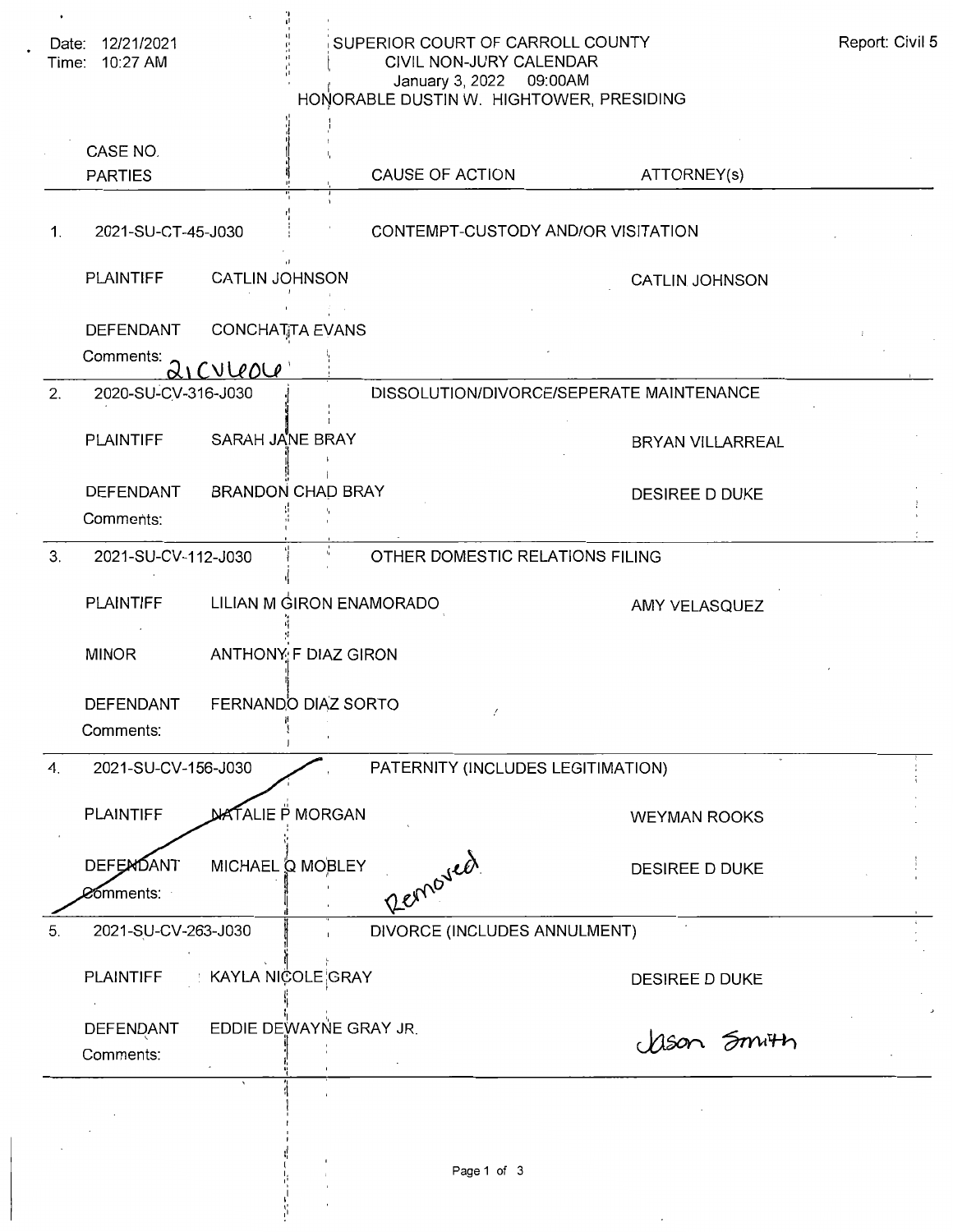| Date: 12/21/2021<br>Time: 10:27 AM    |                                    | SUPERIOR COURT OF CARROLL COUNTY<br>CIVIL NON-JURY CALENDAR<br>January 3, 2022 09:00AM<br>HONORABLE DUSTIN W. HIGHTOWER, PRESIDING |                                          | Report: Civil 5 |
|---------------------------------------|------------------------------------|------------------------------------------------------------------------------------------------------------------------------------|------------------------------------------|-----------------|
| CASE NO.<br><b>PARTIES</b>            |                                    | CAUSE OF ACTION                                                                                                                    | ATTORNEY(s)                              |                 |
| 2021-SU-CT-45-J030<br>$\mathbf{1}$ .  |                                    | CONTEMPT-CUSTODY AND/OR VISITATION                                                                                                 |                                          |                 |
| <b>PLAINTIFF</b>                      | <b>CATLIN JOHNSON</b>              |                                                                                                                                    | <b>CATLIN JOHNSON</b>                    |                 |
| <b>DEFENDANT</b><br>Comments:         | <b>CONCHATTA EVANS</b><br>QICVUOOU |                                                                                                                                    |                                          |                 |
| 2020-SU-CV-316-J030<br>2.             |                                    |                                                                                                                                    | DISSOLUTION/DIVORCE/SEPERATE MAINTENANCE |                 |
| <b>PLAINTIFF</b>                      | SARAH JANE BRAY                    |                                                                                                                                    | BRYAN VILLARREAL                         |                 |
| DEFENDANT<br>Comments:                | <b>BRANDON CHAD BRAY</b>           |                                                                                                                                    | DESIREE D DUKE                           |                 |
| 3.<br>2021-SU-CV-112-J030             |                                    | OTHER DOMESTIC RELATIONS FILING                                                                                                    |                                          |                 |
| <b>PLAINTIFF</b>                      | LILIAN M GIRON ENAMORADO           |                                                                                                                                    | AMY VELASQUEZ                            |                 |
| <b>MINOR</b>                          | ANTHONY F DIAZ GIRON               |                                                                                                                                    |                                          |                 |
| DEFENDANT<br>Comments:                | FERNANDO DIAZ SORTO                |                                                                                                                                    |                                          |                 |
| 2021-SU-CV-156-J030<br>4.             |                                    | PATERNITY (INCLUDES LEGITIMATION)                                                                                                  |                                          |                 |
| <b>PLAINTIFF</b>                      | <b>NATALIE P MORGAN</b>            |                                                                                                                                    | <b>WEYMAN ROOKS</b>                      |                 |
| <b>DEFEMOANT</b><br><b>⊘⊙</b> mments: | MICHAEL Q MOBLEY                   | Removed                                                                                                                            | DESIREE D DUKE                           |                 |
| 2021-SU-CV-263-J030<br>5.             |                                    | DIVORCE (INCLUDES ANNULMENT)                                                                                                       |                                          |                 |
| <b>PLAINTIFF</b>                      | ∶ KAYLA NIÇOLE¦GRAY                |                                                                                                                                    | DESIREE D DUKE                           |                 |
| DEFENDANT<br>Comments:                | EDDIE DEWAYNE GRAY JR.             |                                                                                                                                    | Mson Smith                               |                 |
|                                       |                                    |                                                                                                                                    |                                          |                 |

 $\overline{\phantom{a}}$  $\frac{1}{2}$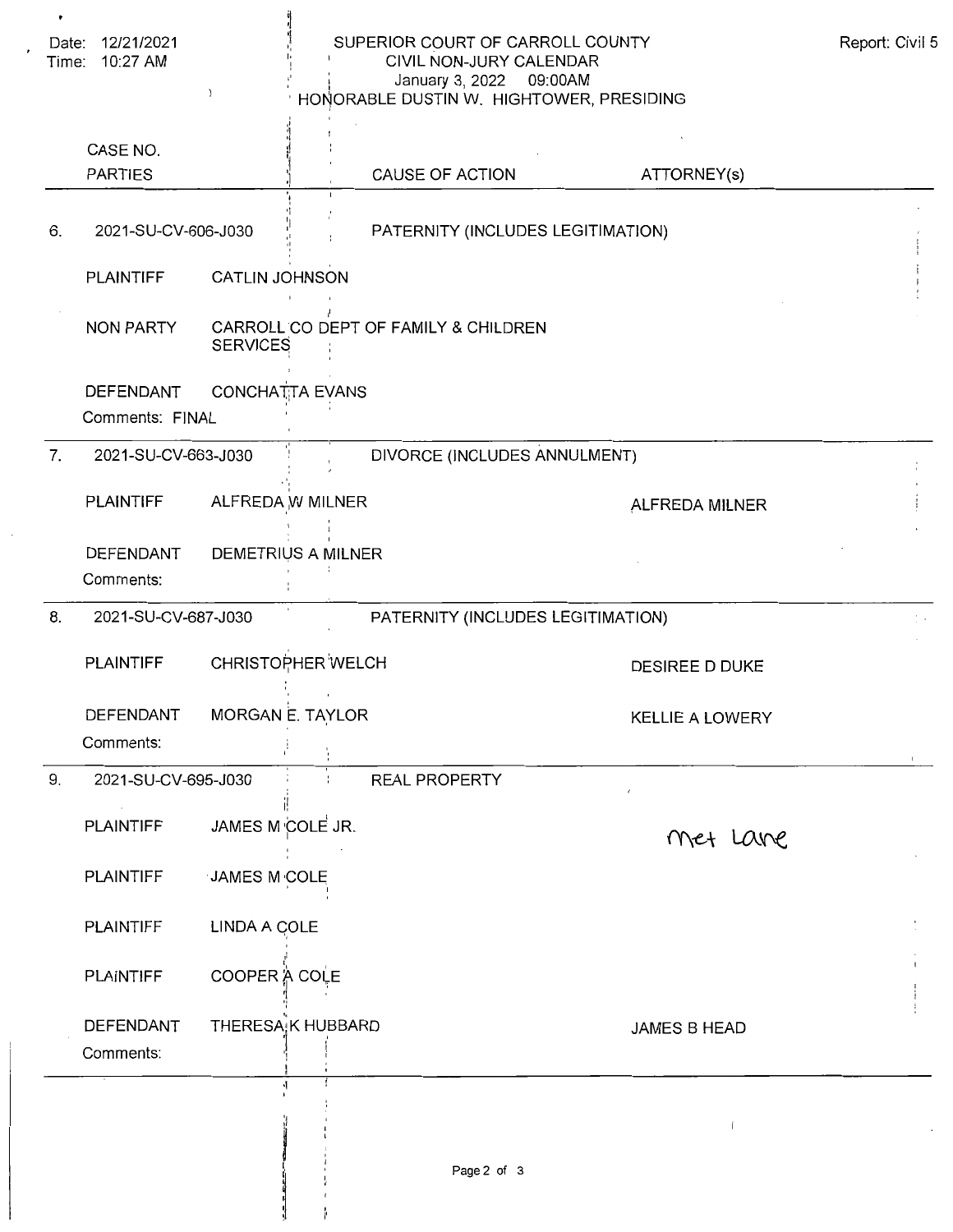| Date: 12/21/2021<br>Time: 10:27 AM<br>) |                                     | SUPERIOR COURT OF CARROLL COUNTY<br>CIVIL NON-JURY CALENDAR<br>January 3, 2022 09:00AM<br>HONORABLE DUSTIN W. HIGHTOWER, PRESIDING |                                      | Report: Civil 5                   |                        |  |
|-----------------------------------------|-------------------------------------|------------------------------------------------------------------------------------------------------------------------------------|--------------------------------------|-----------------------------------|------------------------|--|
|                                         | CASE NO.                            |                                                                                                                                    |                                      |                                   |                        |  |
|                                         | <b>PARTIES</b>                      |                                                                                                                                    |                                      | CAUSE OF ACTION                   | ATTORNEY(s)            |  |
| 6.                                      | 2021-SU-CV-606-J030                 |                                                                                                                                    |                                      | PATERNITY (INCLUDES LEGITIMATION) |                        |  |
|                                         | <b>PLAINTIFF</b>                    | <b>CATLIN JOHNSON</b>                                                                                                              |                                      |                                   |                        |  |
|                                         | NON PARTY                           | <b>SERVICES</b>                                                                                                                    | CARROLL CO DEPT OF FAMILY & CHILDREN |                                   |                        |  |
|                                         | <b>DEFENDANT</b><br>Comments: FINAL |                                                                                                                                    | <b>CONCHATTA EVANS</b>               |                                   |                        |  |
| 7.                                      | 2021-SU-CV-663-J030                 |                                                                                                                                    |                                      | DIVORCE (INCLUDES ANNULMENT)      |                        |  |
|                                         | <b>PLAINTIFF</b>                    |                                                                                                                                    | ALFREDA W MILNER                     |                                   | ALFREDA MILNER         |  |
|                                         | <b>DEFENDANT</b><br>Comments:       |                                                                                                                                    | DEMETRIUS A MILNER                   |                                   |                        |  |
| 8.                                      | 2021-SU-CV-687-J030                 |                                                                                                                                    |                                      | PATERNITY (INCLUDES LEGITIMATION) |                        |  |
|                                         | <b>PLAINTIFF</b>                    |                                                                                                                                    | CHRISTOPHER WELCH                    |                                   | <b>DESIREE D DUKE</b>  |  |
|                                         | DEFENDANT<br>Comments:              |                                                                                                                                    | MORGAN E. TAYLOR                     |                                   | <b>KELLIE A LOWERY</b> |  |
| 9.                                      | 2021-SU-CV-695-J030                 |                                                                                                                                    |                                      | <b>REAL PROPERTY</b>              |                        |  |
|                                         | <b>PLAINTIFF</b>                    | JAMES M COLE JR.                                                                                                                   |                                      |                                   | Met Lane               |  |
|                                         | <b>PLAINTIFF</b>                    | JAMES M COLE                                                                                                                       |                                      |                                   |                        |  |
|                                         | <b>PLAINTIFF</b>                    | LINDA A COLE                                                                                                                       |                                      |                                   |                        |  |
|                                         | <b>PLAINTIFF</b>                    | COOPER A COLE                                                                                                                      |                                      |                                   |                        |  |
|                                         | DEFENDANT<br>Comments:              |                                                                                                                                    | THERESA K HUBBARD                    |                                   | JAMES B HEAD           |  |
|                                         |                                     |                                                                                                                                    |                                      |                                   |                        |  |